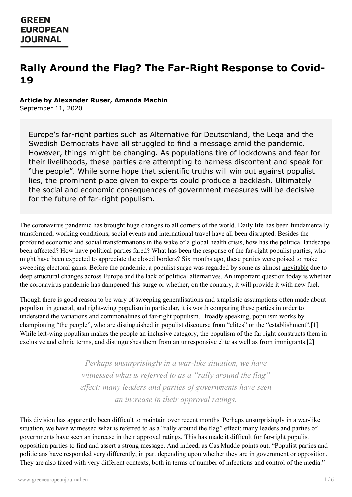# **Rally Around the Flag? The Far-Right Response to Covid-19**

#### **Article by Alexander Ruser, Amanda Machin**

September 11, 2020

Europe's far-right parties such as Alternative für Deutschland, the Lega and the Swedish Democrats have all struggled to find a message amid the pandemic. However, things might be changing. As populations tire of lockdowns and fear for their livelihoods, these parties are attempting to harness discontent and speak for "the people". While some hope that scientific truths will win out against populist lies, the prominent place given to experts could produce a backlash. Ultimately the social and economic consequences of government measures will be decisive for the future of far-right populism.

The coronavirus pandemic has brought huge changes to all corners of the world. Daily life has been fundamentally transformed; working conditions, social events and international travel have all been disrupted. Besides the profound economic and social transformations in the wake of a global health crisis, how has the political landscape been affected? How have political parties fared? What has been the response of the far-right populist parties, who might have been expected to appreciate the closed borders? Six months ago, these parties were poised to make sweeping electoral gains. Before the pandemic, a populist surge was regarded by some as almost [inevitable](https://www.researchgate.net/publication/309643775_Europe) due to deep structural changes across Europe and the lack of political alternatives. An important question today is whether the coronavirus pandemic has dampened this surge or whether, on the contrary, it will provide it with new fuel.

Though there is good reason to be wary of sweeping generalisations and simplistic assumptions often made about populism in general, and right-wing populism in particular, it is worth comparing these parties in order to understand the variations and commonalities of far-right populism. Broadly speaking, populism works by championing "the people", who are distinguished in populist discourse from "elites" or the "establishment".[1] While left-wing populism makes the people an inclusive category, the populism of the far right constructs them in exclusive and ethnic terms, and distinguishes them from an unresponsive elite as well as from immigrants.[2]

> *Perhaps unsurprisingly in a war-like situation, we have witnessed what is referred to as a "rally around the flag" ef ect: many leaders and parties of governments have seen an increase in their approval ratings.*

This [division](https://www.greeneuropeanjournal.eu) has apparently been difficult to maintain over recent months. Perhaps unsurprisingly in a war-like situation, we have witnessed what is referred to as a "rally [around](https://www.theintlscholar.com/periodical/2020/04/coronavirus-rally-round-the-flag-bump-trump-campaign) the flag" effect: many leaders and parties of governments have seen an increase in their [approval](https://www.euronews.com/2020/05/21/coronavirus-why-did-european-leaders-approval-ratings-rise-during-lockdown) ratings. This has made it difficult for far-right populist opposition parties to find and assert a strong message. And indeed, as Cas [Mudde](https://www.theguardian.com/commentisfree/2020/mar/27/coronavirus-populism-trump-politics-response) points out, "Populist parties and politicians have responded very differently, in part depending upon whether they are in government or opposition. They are also faced with very different contexts, both in terms of number of infections and control of the media."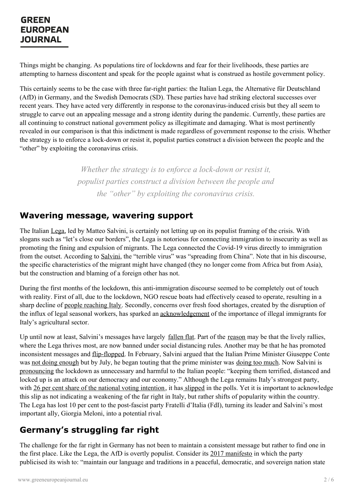Things might be changing. As populations tire of lockdowns and fear for their livelihoods, these parties are attempting to harness discontent and speak for the people against what is construed as hostile government policy.

This certainly seems to be the case with three far-right parties: the Italian Lega, the Alternative für Deutschland (AfD) in Germany, and the Swedish Democrats (SD). These parties have had striking electoral successes over recent years. They have acted very differently in response to the coronavirus-induced crisis but they all seem to struggle to carve out an appealing message and a strong identity during the pandemic. Currently, these parties are all continuing to construct national government policy as illegitimate and damaging. What is most pertinently revealed in our comparison is that this indictment is made regardless of government response to the crisis. Whether the strategy is to enforce a lock-down or resist it, populist parties construct a division between the people and the "other" by exploiting the coronavirus crisis.

> *Whether the strategy is to enforce a lock-down or resist it, populist parties construct a division between the people and the "other" by exploiting the coronavirus crisis.*

#### **Wavering message, wavering support**

The Italian [Lega](https://ecpr.eu/Filestore/PaperProposal/fd6bf3e0-c73e-4801-90ce-ee01189834e3.pdf), led by Matteo Salvini, is certainly not letting up on its populist framing of the crisis. With slogans such as "let's close our borders", the Lega is notorious for connecting immigration to insecurity as well as promoting the fining and expulsion of migrants. The Lega connected the Covid-19 virus directly to immigration from the outset. According to [Salvini](https://www.huffingtonpost.it/entry/salvini-usa-il-coronavirus-contro-il-governo_it_5e316c79c5b6cd99e7868403), the "terrible virus" was "spreading from China". Note that in his discourse, the specific characteristics of the migrant might have changed (they no longer come from Africa but from Asia), but the construction and blaming of a foreign other has not.

During the first months of the lockdown, this anti-immigration discourse seemed to be completely out of touch with reality. First of all, due to the lockdown, NGO rescue boats had effectively ceased to operate, resulting in a sharp decline of people [reaching](https://www.rfi.fr/en/europe/20200613-fears-grow-in-italy-of-post-covid-migrant-emergency-over-summer-libya-mediterranean-rescue) Italy. Secondly, concerns over fresh food shortages, created by the disruption of the influx of legal seasonal workers, has sparked an [acknowledgement](https://www.politico.eu/article/italy-seasonal-migrant-farm-workers-coronavirus-covid-19/) of the importance of illegal immigrants for Italy's agricultural sector.

Up until now at least, Salvini's messages have largely [fallen](https://www.politico.eu/article/italy-matteo-salvinis-league-coronavirus-slump/) flat. Part of the [reason](https://www.telegraph.co.uk/news/2020/05/18/king-selfies-matteo-salvini-finds-sidelined-italys-coronavirus/) may be that the lively rallies, where the Lega thrives most, are now banned under social distancing rules. Another may be that he has promoted inconsistent messages and [flip-flopped](https://www.euractiv.com/section/elections/news/virus-puts-brakes-on-salvinis-far-right-message-in-italy/). In February, Salvini argued that the Italian Prime Minister Giuseppe Conte was not doing [enough](https://www.huffingtonpost.it/entry/il-coronavirus-non-ferma-le-cannonate-di-salvini-contro-conte_it_5e542179c5b66729cf6060e9) but by July, he began touting that the prime minister was [doing](https://www.huffingtonpost.it/entry/il-no-politico-di-matteo-salvini-alla-mascherina_it_5f1ef44dc5b638cfec4814aa?utm_hp_ref=it-corona-virus) too much. Now Salvini is [pronouncing](https://www.liberoquotidiano.it/video/politica/24004991/stato-di-emergenza-coronavirus-matteo-salvini-attentato-democrazia-siamo-pronti-a-tutto.html) the lockdown as unnecessary and harmful to the Italian people: "keeping them terrified, distanced and locked up is an attack on our democracy and our economy." Although the Lega remains Italy's strongest party, with 26 per cent share of the national voting [intention](https://www.politico.eu/europe-poll-of-polls/italy/), it has [slipped](https://www.politico.eu/article/italy-matteo-salvinis-league-coronavirus-slump/) in the polls. Yet it is important to acknowledge this slip as not indicating a weakening of the far right in Italy, but rather shifts of popularity within the country. The Lega has lost 10 per cent to the post-fascist party Fratelli d'Italia (FdI), turning its leader and Salvini's most [important](https://www.greeneuropeanjournal.eu) ally, Giorgia Meloni, into a potential rival.

#### **Germany's struggling far right**

The challenge for the far right in Germany has not been to maintain a consistent message but rather to find one in the first place. Like the Lega, the AfD is overtly populist. Consider its 2017 [manifesto](https://www.afd.de/wp-content/uploads/sites/111/2017/04/2017-04-12_afd-grundsatzprogramm-englisch_web.pdf) in which the party publicised its wish to: "maintain our language and traditions in a peaceful, democratic, and sovereign nation state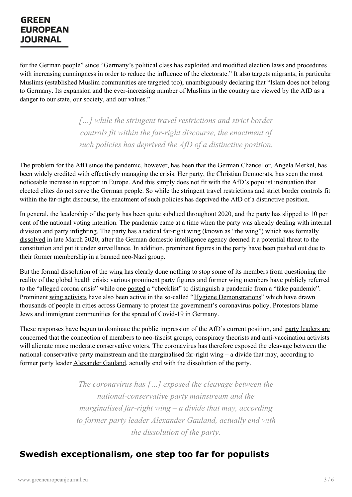for the German people" since "Germany's political class has exploited and modified election laws and procedures with increasing cunningness in order to reduce the influence of the electorate." It also targets migrants, in particular Muslims (established Muslim communities are targeted too), unambiguously declaring that "Islam does not belong to Germany. Its expansion and the ever-increasing number of Muslims in the country are viewed by the AfD as a danger to our state, our society, and our values."

> *[…] while the stringent travel restrictions and strict border controls fit within the far-right discourse, the enactment of such policies has deprived the AfD of a distinctive position.*

The problem for the AfD since the pandemic, however, has been that the German Chancellor, Angela Merkel, has been widely credited with effectively managing the crisis. Her party, the Christian Democrats, has seen the most noticeable [increase](https://www.euronews.com/2020/05/21/coronavirus-why-did-european-leaders-approval-ratings-rise-during-lockdown) in support in Europe. And this simply does not fit with the AfD's populist insinuation that elected elites do not serve the German people. So while the stringent travel restrictions and strict border controls fit within the far-right discourse, the enactment of such policies has deprived the AfD of a distinctive position.

In general, the leadership of the party has been quite subdued throughout 2020, and the party has slipped to 10 per cent of the national voting intention. The pandemic came at a time when the party was already dealing with internal division and party infighting. The party has a radical far-right wing (known as "the wing") which was formally [dissolved](https://www.dw.com/en/germanys-far-right-afd-to-dissolve-extreme-wing-faction/a-52864683) in late March 2020, after the German domestic intelligence agency deemed it a potential threat to the constitution and put it under surveillance. In addition, prominent figures in the party have been [pushed](https://www.theguardian.com/world/2020/may/18/germany-afd-thrown-into-turmoil-by-former-neo-nazi-explusion-andreas-kalbitz) out due to their former membership in a banned neo-Nazi group.

But the formal dissolution of the wing has clearly done nothing to stop some of its members from questioning the reality of the global health crisis: various prominent party figures and former wing members have publicly referred to the "alleged corona crisis" while one [posted](https://de-de.facebook.com/pg/bystronpetr/posts/?ref=page_internal) a "checklist" to distinguish a pandemic from a "fake pandemic". Prominent wing [activists](https://www.zdf.de/nachrichten/politik/coronavirus-widerstand2020-partei-100.html) have also been active in the so-called "Hygiene [Demonstrations](https://peoplesdispatch.org/2020/05/30/progressives-in-germany-denounce-racist-hygiene-demos-and-anti-lockdown-protests/)" which have drawn thousands of people in cities across Germany to protest the government's coronavirus policy. Protestors blame Jews and immigrant communities for the spread of Covid-19 in Germany.

These responses have begun to dominate the public impression of the AfD's current position, and party leaders are concerned that the connection of members to neo-fascist groups, conspiracy theorists and [anti-vaccination](https://www.dw.com/en/germanys-afd-considers-party-split-amid-controversy-over-radical-wing/a-52999297) activists will alienate more moderate conservative voters. The coronavirus has therefore exposed the cleavage between the national-conservative party mainstream and the marginalised far-right wing – a divide that may, according to former party leader [Alexander](https://www.zeit.de/politik/deutschland/2020-08/afd-alexander-gauland-fraktionsvorsitz-andreas-kalbitz-streit) Gauland, actually end with the dissolution of the party.

> *The coronavirus has […] exposed the cleavage between the national-conservative party mainstream and the marginalised far-right wing – a divide that may, according [to](https://www.greeneuropeanjournal.eu) former party leader Alexander Gauland, actually end with the dissolution of the party.*

#### **Swedish exceptionalism, one step too far for populists**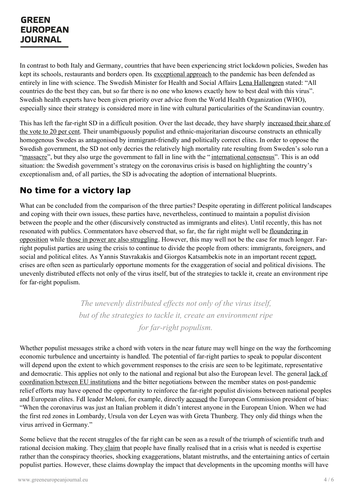In contrast to both Italy and Germany, countries that have been experiencing strict lockdown policies, Sweden has kept its schools, restaurants and borders open. Its [exceptional](https://www.ecfr.eu/article/commentary_sweden_goes_it_alone_the_eus_coronavirus_exception) approach to the pandemic has been defended as entirely in line with science. The Swedish Minister for Health and Social Affairs Lena [Hallengren](https://www.government.se/government-of-sweden/ministry-of-health-and-social-affairs/lena-hallengren/) stated: "All countries do the best they can, but so far there is no one who knows exactly how to best deal with this virus". Swedish health experts have been given priority over advice from the World Health Organization (WHO), especially since their strategy is considered more in line with cultural particularities of the Scandinavian country.

This has left the far-right SD in a difficult position. Over the last decade, they have sharply increased their share of the vote to 20 per cent. Their unambiguously populist and [ethnic-majoritarian](https://www.politico.eu/europe-poll-of-polls/sweden/) discourse constructs an ethnically homogenous Swedes as antagonised by immigrant-friendly and politically correct elites. In order to oppose the Swedish government, the SD not only decries the relatively high mortality rate resulting from Sweden's solo run a ["massacre](https://time.com/5853595/sweden-coronavirus-lockdown-criticism/)", but they also urge the government to fall in line with the "[international](https://www.ft.com/content/4f6ad356-9f61-4728-a9aa-3fa1f232035a) consensus". This is an odd situation: the Swedish government's strategy on the coronavirus crisis is based on highlighting the country's exceptionalism and, of all parties, the SD is advocating the adoption of international blueprints.

## **No time for a victory lap**

What can be concluded from the comparison of the three parties? Despite operating in different political landscapes and coping with their own issues, these parties have, nevertheless, continued to maintain a populist division between the people and the other (discursively constructed as immigrants and elites). Until recently, this has not resonated with publics. [Commentators](https://neoskosmos.com/en/170248/has-the-coronavirus-proved-a-crisis-too-far-for-europes-far-right-outsiders/) have observed that, so far, the far right might well be floundering in opposition while those in power are also [struggling](https://globalnews.ca/news/7208854/coronavirus-populist-leaders-science/). However, this may well not be the case for much longer. Farright populist parties are using the crisis to continue to divide the people from others: immigrants, foreigners, and social and political elites. As Yannis Stavrakakis and Giorgos Katsambekis note in an important recent [report](https://www.researchgate.net/publication/342205771_Populism_and_the_Pandemic_A_Collaborative_Report), crises are often seen as particularly opportune moments for the exaggeration of social and political divisions. The unevenly distributed effects not only of the virus itself, but of the strategies to tackle it, create an environment ripe for far-right populism.

> *The unevenly distributed ef ects not only of the virus itself, but of the strategies to tackle it, create an environment ripe for far-right populism.*

Whether populist messages strike a chord with voters in the near future may well hinge on the way the forthcoming economic turbulence and uncertainty is handled. The potential of far-right parties to speak to popular discontent will depend upon the extent to which government responses to the crisis are seen to be legitimate, representative and democratic. This applies not only to the national and regional but also the European level. The general lack of coordination between EU institutions and the bitter negotiations between the member states on [post-pandemic](https://onlinelibrary.wiley.com/doi/full/10.1111/puar.13242) relief efforts may have opened the opportunity to reinforce the far-right populist divisions between national peoples and European elites. FdI leader Meloni, for example, directly [accused](https://www.ft.com/content/f225692c-a338-4bd2-8dd0-432d40ab5b54) the European Commission president of bias: "When the coronavirus was just an Italian problem it didn't interest anyone in the European Union. When we had the first red [zones](https://www.greeneuropeanjournal.eu) in Lombardy, Ursula von der Leyen was with Greta Thunberg. They only did things when the virus arrived in Germany."

Some believe that the recent struggles of the far right can be seen as a result of the triumph of scientific truth and rational decision making. They [claim](https://foreignpolicy.com/2020/04/16/coronavirus-populism-extremism-europe-league-italy/) that people have finally realised that in a crisis what is needed is expertise rather than the conspiracy theories, shocking exaggerations, blatant mistruths, and the entertaining antics of certain populist parties. However, these claims downplay the impact that developments in the upcoming months will have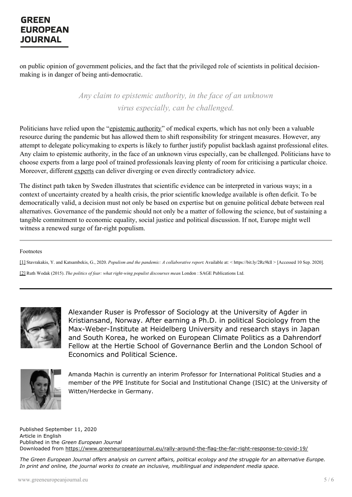on public opinion of government policies, and the fact that the privileged role of scientists in political decisionmaking is in danger of being anti-democratic.

> *Any claim to epistemic authority, in the face of an unknown virus especially, can be challenged.*

Politicians have relied upon the ["epistemic](https://www.frontiersin.org/articles/10.3389/fpubh.2020.00356/full) authority" of medical experts, which has not only been a valuable resource during the pandemic but has allowed them to shift responsibility for stringent measures. However, any attempt to delegate policymaking to experts is likely to further justify populist backlash against professional elites. Any claim to epistemic authority, in the face of an unknown virus especially, can be challenged. Politicians have to choose experts from a large pool of trained professionals leaving plenty of room for criticising a particular choice. Moreover, different [experts](https://www.timeshighereducation.com/news/who-qualifies-real-expert-when-it-comes-coronavirus) can deliver diverging or even directly contradictory advice.

The distinct path taken by Sweden illustrates that scientific evidence can be interpreted in various ways; in a context of uncertainty created by a health crisis, the prior scientific knowledge available is often deficit. To be democratically valid, a decision must not only be based on expertise but on genuine political debate between real alternatives. Governance of the pandemic should not only be a matter of following the science, but of sustaining a tangible commitment to economic equality, social justice and political discussion. If not, Europe might well witness a renewed surge of far-right populism.

#### Footnotes

[1] Stavrakakis, Y. and Katsambekis, G., 2020. *Populism and the pandemic: A collaborative report*. Available at: < https://bit.ly/2Rc9kll > [Accessed 10 Sep. 2020].

[2] Ruth Wodak (2015). *The politics of fear: what right-wing populist discourses mean*. London : SAGE Publications Ltd.



Alexander Ruser is Professor of Sociology at the University of Agder in Kristiansand, Norway. After earning a Ph.D. in political Sociology from the Max-Weber-Institute at Heidelberg University and research stays in Japan and South Korea, he worked on European Climate Politics as a Dahrendorf Fellow at the Hertie School of Governance Berlin and the London School of Economics and Political Science.



Amanda Machin is currently an interim Professor for International Political Studies and a member of the PPE Institute for Social and Institutional Change (ISIC) at the University of Witten/Herdecke in Germany.

Published September 11, 2020 Article in English Published in the *Green European Journal* Downloaded from <https://www.greeneuropeanjournal.eu/rally-around-the-flag-the-far-right-response-to-covid-19/>

The Green European Journal offers analysis on current affairs, political ecology and the struggle for an alternative Europe. *In print and online, the journal works to create an inclusive, multilingual and independent media space.*